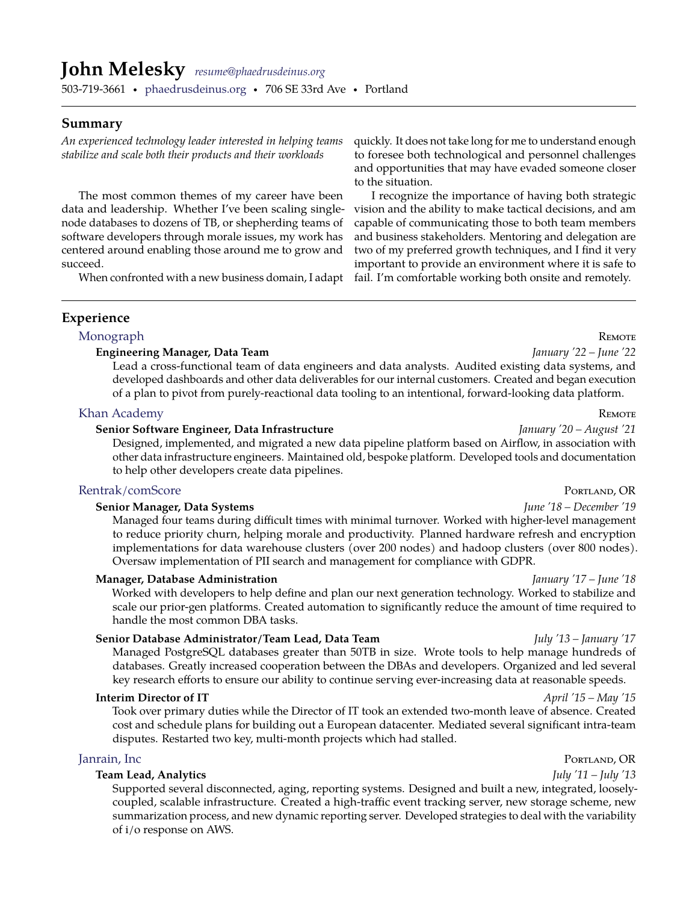# **John Melesky** *[resume@phaedrusdeinus.org](mailto:resume@phaedrusdeinus.org)*

503-719-3661 · [phaedrusdeinus.org](http://phaedrusdeinus.org) · 706 SE 33rd Ave · Portland

### **Summary**

*An experienced technology leader interested in helping teams stabilize and scale both their products and their workloads*

The most common themes of my career have been data and leadership. Whether I've been scaling singlenode databases to dozens of TB, or shepherding teams of software developers through morale issues, my work has centered around enabling those around me to grow and succeed.

When confronted with a new business domain, I adapt

quickly. It does not take long for me to understand enough to foresee both technological and personnel challenges and opportunities that may have evaded someone closer to the situation.

I recognize the importance of having both strategic vision and the ability to make tactical decisions, and am capable of communicating those to both team members and business stakeholders. Mentoring and delegation are two of my preferred growth techniques, and I find it very important to provide an environment where it is safe to fail. I'm comfortable working both onsite and remotely.

### **Experience**

# [Monograph](http://monograph.com) R<sub>EMOTE</sub>

### **Engineering Manager, Data Team** *January '22 – June '22*

Lead a cross-functional team of data engineers and data analysts. Audited existing data systems, and developed dashboards and other data deliverables for our internal customers. Created and began execution of a plan to pivot from purely-reactional data tooling to an intentional, forward-looking data platform.

### [Khan Academy](http://www.khanacademy.org) Remote and the settlement of the settlement of the settlement of the settlement of the settlement of the settlement of the settlement of the settlement of the settlement of the settlement of the settlement of

### **Senior Software Engineer, Data Infrastructure** *January '20 – August '21*

Designed, implemented, and migrated a new data pipeline platform based on Airflow, in association with other data infrastructure engineers. Maintained old, bespoke platform. Developed tools and documentation to help other developers create data pipelines.

### [Rentrak/comScore](http://www.comscore.com) Portland, OR

### **Senior Manager, Data Systems** *June '18 – December '19*

Managed four teams during difficult times with minimal turnover. Worked with higher-level management to reduce priority churn, helping morale and productivity. Planned hardware refresh and encryption implementations for data warehouse clusters (over 200 nodes) and hadoop clusters (over 800 nodes). Oversaw implementation of PII search and management for compliance with GDPR.

### **Manager, Database Administration** *January '17 – June '18*

Worked with developers to help define and plan our next generation technology. Worked to stabilize and scale our prior-gen platforms. Created automation to significantly reduce the amount of time required to handle the most common DBA tasks.

### **Senior Database Administrator/Team Lead, Data Team** *July '13 – January '17*

Managed PostgreSQL databases greater than 50TB in size. Wrote tools to help manage hundreds of databases. Greatly increased cooperation between the DBAs and developers. Organized and led several key research efforts to ensure our ability to continue serving ever-increasing data at reasonable speeds.

### **Interim Director of IT** *April '15 – May '15*

Took over primary duties while the Director of IT took an extended two-month leave of absence. Created cost and schedule plans for building out a European datacenter. Mediated several significant intra-team disputes. Restarted two key, multi-month projects which had stalled.

### **Team Lead, Analytics** *July '11 – July '13*

Supported several disconnected, aging, reporting systems. Designed and built a new, integrated, looselycoupled, scalable infrastructure. Created a high-traffic event tracking server, new storage scheme, new summarization process, and new dynamic reporting server. Developed strategies to deal with the variability of i/o response on AWS.

# [Janrain, Inc](http://www.janrain.com) Portland, OR